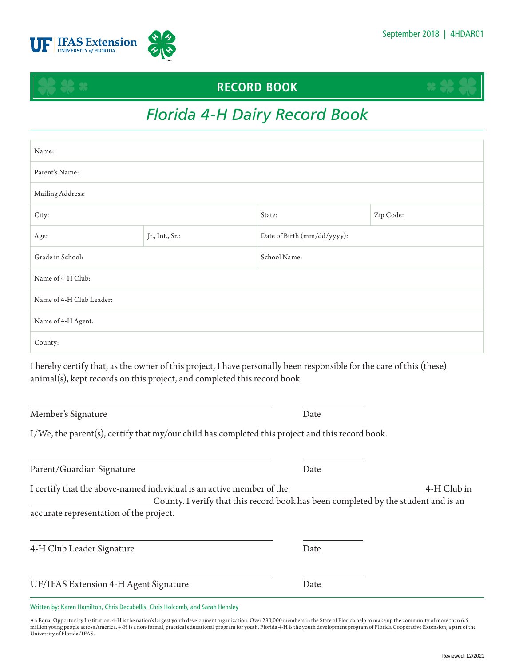

**RECORD BOOK**



# *Florida 4-H Dairy Record Book*

| Name:                                                                    |                                                                      |                                                                                                                      |             |
|--------------------------------------------------------------------------|----------------------------------------------------------------------|----------------------------------------------------------------------------------------------------------------------|-------------|
| Parent's Name:                                                           |                                                                      |                                                                                                                      |             |
| Mailing Address:                                                         |                                                                      |                                                                                                                      |             |
| City:                                                                    |                                                                      | State:                                                                                                               | Zip Code:   |
| Age:                                                                     | Jr., Int., Sr.:                                                      | Date of Birth (mm/dd/yyyy):                                                                                          |             |
| Grade in School:                                                         |                                                                      | School Name:                                                                                                         |             |
| Name of 4-H Club:                                                        |                                                                      |                                                                                                                      |             |
| Name of 4-H Club Leader:                                                 |                                                                      |                                                                                                                      |             |
| Name of 4-H Agent:                                                       |                                                                      |                                                                                                                      |             |
| County:                                                                  |                                                                      |                                                                                                                      |             |
| animal(s), kept records on this project, and completed this record book. |                                                                      | I hereby certify that, as the owner of this project, I have personally been responsible for the care of this (these) |             |
| Member's Signature                                                       |                                                                      | Date                                                                                                                 |             |
|                                                                          |                                                                      | I/We, the parent(s), certify that my/our child has completed this project and this record book.                      |             |
| Parent/Guardian Signature                                                |                                                                      | Date                                                                                                                 |             |
|                                                                          | I certify that the above-named individual is an active member of the |                                                                                                                      | 4-H Club in |
|                                                                          |                                                                      | County. I verify that this record book has been completed by the student and is an                                   |             |
| accurate representation of the project.                                  |                                                                      |                                                                                                                      |             |
| 4-H Club Leader Signature                                                |                                                                      | Date                                                                                                                 |             |

UF/IFAS Extension 4-H Agent Signature Date

Written by: Karen Hamilton, Chris Decubellis, Chris Holcomb, and Sarah Hensley

An Equal Opportunity Institution. 4-H is the nation's largest youth development organization. Over 230,000 members in the State of Florida help to make up the community of more than 6.5 million young people across America. 4-H is a non-formal, practical educational program for youth. Florida 4-H is the youth development program of Florida Cooperative Extension, a part of the University of Florida/IFAS.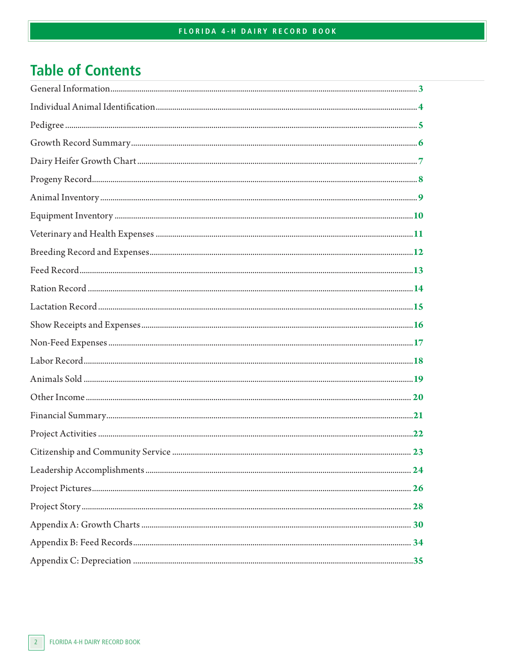# **Table of Contents**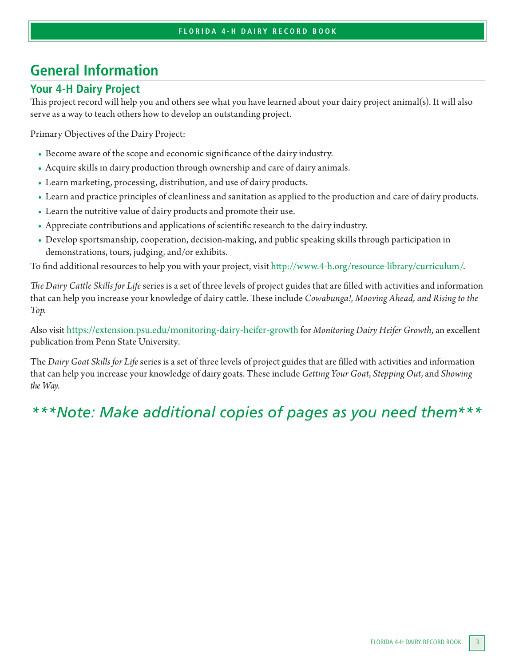### <span id="page-2-0"></span>**General Information**

#### **Your 4-H Dairy Project**

This project record will help you and others see what you have learned about your dairy project animal(s). It will also serve as a way to teach others how to develop an outstanding project.

Primary Objectives of the Dairy Project:

- **•** Become aware of the scope and economic significance of the dairy industry.
- **•** Acquire skills in dairy production through ownership and care of dairy animals.
- **•** Learn marketing, processing, distribution, and use of dairy products.
- **•** Learn and practice principles of cleanliness and sanitation as applied to the production and care of dairy products.
- **•** Learn the nutritive value of dairy products and promote their use.
- **•** Appreciate contributions and applications of scientific research to the dairy industry.
- **•** Develop sportsmanship, cooperation, decision-making, and public speaking skills through participation in demonstrations, tours, judging, and/or exhibits.

To find additional resources to help you with your project, visit [http://www.4-h.org/resource-library/curriculum/.](http://www.4-h.org/resource-library/curriculum/)

*The Dairy Cattle Skills for Life* series is a set of three levels of project guides that are filled with activities and information that can help you increase your knowledge of dairy cattle. These include *Cowabunga!, Mooving Ahead, and Rising to the Top*.

Also visit <https://extension.psu.edu/monitoring-dairy-heifer-growth> for *Monitoring Dairy Heifer Growth*, an excellent publication from Penn State University.

The *Dairy Goat Skills for Life* series is a set of three levels of project guides that are filled with activities and information that can help you increase your knowledge of dairy goats. These include *Getting Your Goat*, *Stepping Out*, and *Showing the Way*.

*\*\*\*Note: Make additional copies of pages as you need them\*\*\**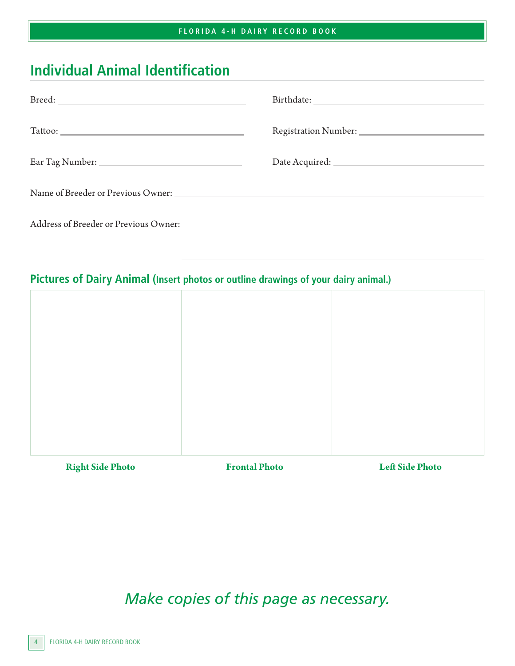# <span id="page-3-0"></span>**Individual Animal Identification**

### **Pictures of Dairy Animal (Insert photos or outline drawings of your dairy animal.)**

| <b>Right Side Photo</b> | <b>Frontal Photo</b> | <b>Left Side Photo</b> |
|-------------------------|----------------------|------------------------|
|                         |                      |                        |
|                         |                      |                        |
|                         |                      |                        |
|                         |                      |                        |
|                         |                      |                        |
|                         |                      |                        |
|                         |                      |                        |
|                         |                      |                        |
|                         |                      |                        |
|                         |                      |                        |
|                         |                      |                        |

*Make copies of this page as necessary.*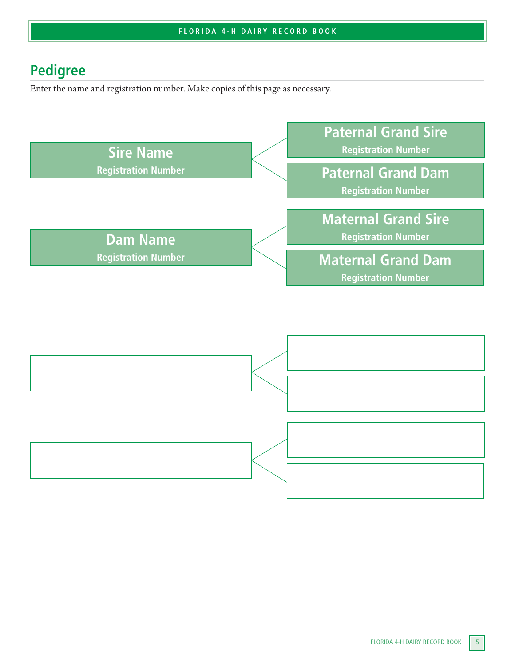# <span id="page-4-0"></span>**Pedigree**

Enter the name and registration number. Make copies of this page as necessary.

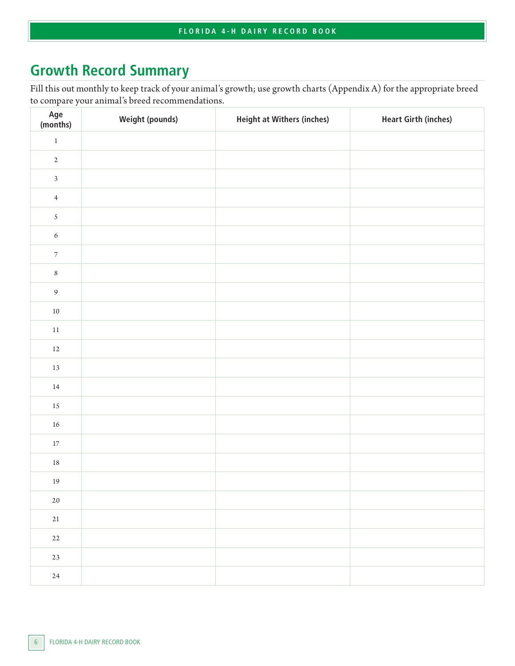# <span id="page-5-0"></span>**Growth Record Summary**

Fill this out monthly to keep track of your animal's growth; use growth charts (Appendix A) for the appropriate breed to compare your animal's breed recommendations.

| Age<br>(months)             | <b>Weight (pounds)</b> | <b>Height at Withers (inches)</b> | <b>Heart Girth (inches)</b> |
|-----------------------------|------------------------|-----------------------------------|-----------------------------|
| $\,1$                       |                        |                                   |                             |
| $\sqrt{2}$                  |                        |                                   |                             |
| $\ensuremath{\mathfrak{Z}}$ |                        |                                   |                             |
| $\overline{4}$              |                        |                                   |                             |
| $\sqrt{5}$                  |                        |                                   |                             |
| $\epsilon$                  |                        |                                   |                             |
| $\boldsymbol{7}$            |                        |                                   |                             |
| $\,8\,$                     |                        |                                   |                             |
| $\boldsymbol{9}$            |                        |                                   |                             |
| $10\,$                      |                        |                                   |                             |
| $11\,$                      |                        |                                   |                             |
| $12\,$                      |                        |                                   |                             |
| $13\,$                      |                        |                                   |                             |
| $14\,$                      |                        |                                   |                             |
| $15\,$                      |                        |                                   |                             |
| $16\,$                      |                        |                                   |                             |
| $17\,$                      |                        |                                   |                             |
| $18\,$                      |                        |                                   |                             |
| 19                          |                        |                                   |                             |
| $20\,$                      |                        |                                   |                             |
| $21\,$                      |                        |                                   |                             |
| $22\,$                      |                        |                                   |                             |
| $23\,$                      |                        |                                   |                             |
| $24\,$                      |                        |                                   |                             |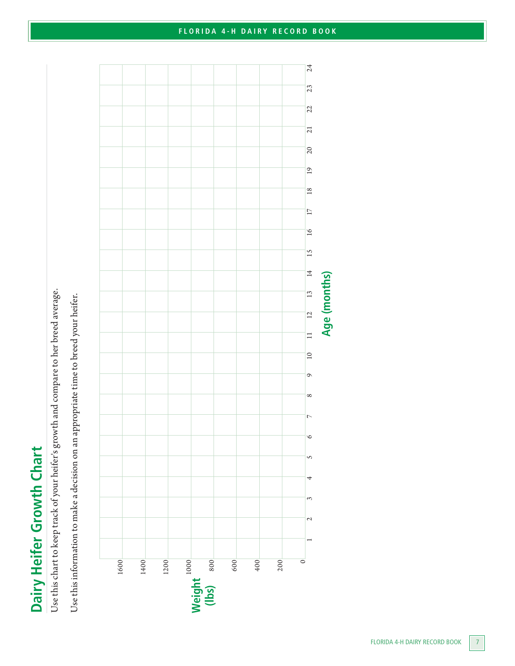| I<br>J<br>I |
|-------------|
| I<br>ľ      |
| Ċ<br>ĺ<br>I |
| b<br>ľ<br>J |

Use this chart to keep track of your heifer's growth and compare to her breed average. Use this chart to keep track of your heifer's growth and compare to her breed average.

Use this information to make a decision on an appropriate time to breed your heifer. Use this information to make a decision on an appropriate time to breed your heifer.

<span id="page-6-0"></span>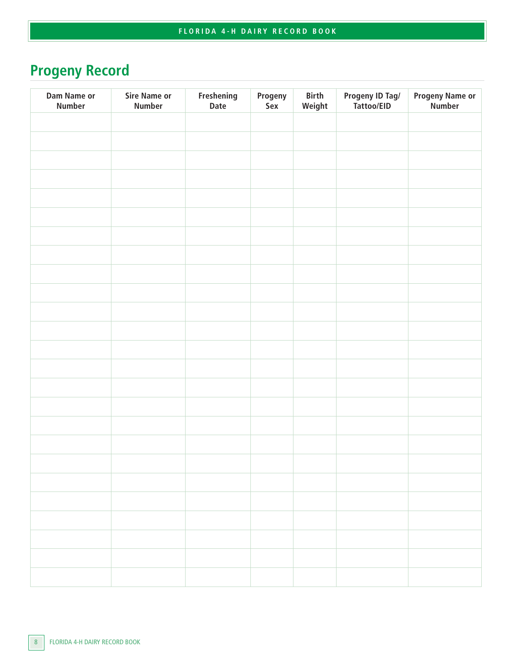# <span id="page-7-0"></span>**Progeny Record**

| Dam Name or<br><b>Number</b> | <b>Sire Name or</b><br>Number | Freshening<br>Date | Progeny<br>Sex | <b>Birth</b><br>Weight | <b>Progeny ID Tag/<br/>Tattoo/EID</b> | <b>Progeny Name or<br/>Number</b> |
|------------------------------|-------------------------------|--------------------|----------------|------------------------|---------------------------------------|-----------------------------------|
|                              |                               |                    |                |                        |                                       |                                   |
|                              |                               |                    |                |                        |                                       |                                   |
|                              |                               |                    |                |                        |                                       |                                   |
|                              |                               |                    |                |                        |                                       |                                   |
|                              |                               |                    |                |                        |                                       |                                   |
|                              |                               |                    |                |                        |                                       |                                   |
|                              |                               |                    |                |                        |                                       |                                   |
|                              |                               |                    |                |                        |                                       |                                   |
|                              |                               |                    |                |                        |                                       |                                   |
|                              |                               |                    |                |                        |                                       |                                   |
|                              |                               |                    |                |                        |                                       |                                   |
|                              |                               |                    |                |                        |                                       |                                   |
|                              |                               |                    |                |                        |                                       |                                   |
|                              |                               |                    |                |                        |                                       |                                   |
|                              |                               |                    |                |                        |                                       |                                   |
|                              |                               |                    |                |                        |                                       |                                   |
|                              |                               |                    |                |                        |                                       |                                   |
|                              |                               |                    |                |                        |                                       |                                   |
|                              |                               |                    |                |                        |                                       |                                   |
|                              |                               |                    |                |                        |                                       |                                   |
|                              |                               |                    |                |                        |                                       |                                   |
|                              |                               |                    |                |                        |                                       |                                   |
|                              |                               |                    |                |                        |                                       |                                   |
|                              |                               |                    |                |                        |                                       |                                   |
|                              |                               |                    |                |                        |                                       |                                   |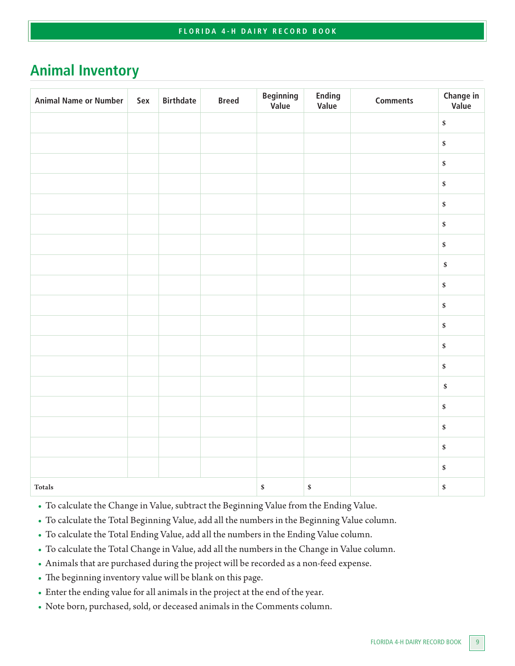### <span id="page-8-0"></span>**Animal Inventory**

| <b>Animal Name or Number</b><br>Sex |  | <b>Birthdate</b> | <b>Breed</b> | <b>Beginning</b><br><b>Ending<br/>Value</b><br>Value |    | <b>Comments</b> | Change in<br>Value  |
|-------------------------------------|--|------------------|--------------|------------------------------------------------------|----|-----------------|---------------------|
|                                     |  |                  |              |                                                      |    |                 | $\pmb{\mathcal{S}}$ |
|                                     |  |                  |              |                                                      |    |                 | $\boldsymbol{\$}$   |
|                                     |  |                  |              |                                                      |    |                 | $\pmb{\mathcal{S}}$ |
|                                     |  |                  |              |                                                      |    |                 | $\pmb{\mathcal{S}}$ |
|                                     |  |                  |              |                                                      |    |                 | $\pmb{\mathcal{S}}$ |
|                                     |  |                  |              |                                                      |    |                 | $\pmb{\mathcal{S}}$ |
|                                     |  |                  |              |                                                      |    |                 | $\pmb{\mathcal{S}}$ |
|                                     |  |                  |              |                                                      |    |                 | $\mathbb S$         |
|                                     |  |                  |              |                                                      |    |                 | $\pmb{\mathcal{S}}$ |
|                                     |  |                  |              |                                                      |    |                 | $\pmb{\mathcal{S}}$ |
|                                     |  |                  |              |                                                      |    |                 | $\pmb{\mathcal{S}}$ |
|                                     |  |                  |              |                                                      |    |                 | $\pmb{\mathcal{S}}$ |
|                                     |  |                  |              |                                                      |    |                 | $\pmb{\mathcal{S}}$ |
|                                     |  |                  |              |                                                      |    |                 | $\pmb{\mathcal{S}}$ |
|                                     |  |                  |              |                                                      |    |                 | $\pmb{\mathcal{S}}$ |
|                                     |  |                  |              |                                                      |    |                 | $\pmb{\mathcal{S}}$ |
|                                     |  |                  |              |                                                      |    |                 | $\pmb{\mathcal{S}}$ |
|                                     |  |                  |              |                                                      |    |                 | $\pmb{\mathcal{S}}$ |
| Totals                              |  |                  |              | $\pmb{\mathbb{S}}$                                   | \$ |                 | $\pmb{\mathcal{S}}$ |

- **•** To calculate the Change in Value, subtract the Beginning Value from the Ending Value.
- **•** To calculate the Total Beginning Value, add all the numbers in the Beginning Value column.
- **•** To calculate the Total Ending Value, add all the numbers in the Ending Value column.
- **•** To calculate the Total Change in Value, add all the numbers in the Change in Value column.
- **•** Animals that are purchased during the project will be recorded as a non-feed expense.
- **•** The beginning inventory value will be blank on this page.
- **•** Enter the ending value for all animals in the project at the end of the year.
- **•** Note born, purchased, sold, or deceased animals in the Comments column.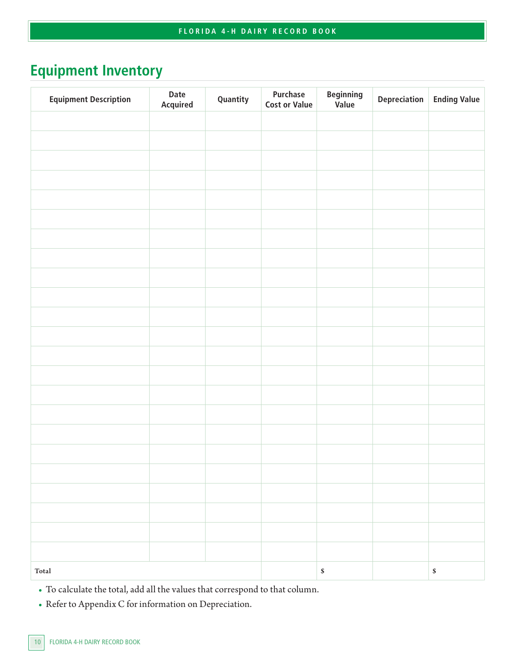# <span id="page-9-0"></span>**Equipment Inventory**

| <b>Equipment Description</b>    | Date<br>Acquired | Quantity | Purchase<br><b>Cost or Value</b> | <b>Beginning<br/>Value</b> | Depreciation | <b>Ending Value</b> |  |  |
|---------------------------------|------------------|----------|----------------------------------|----------------------------|--------------|---------------------|--|--|
|                                 |                  |          |                                  |                            |              |                     |  |  |
|                                 |                  |          |                                  |                            |              |                     |  |  |
|                                 |                  |          |                                  |                            |              |                     |  |  |
|                                 |                  |          |                                  |                            |              |                     |  |  |
|                                 |                  |          |                                  |                            |              |                     |  |  |
|                                 |                  |          |                                  |                            |              |                     |  |  |
|                                 |                  |          |                                  |                            |              |                     |  |  |
|                                 |                  |          |                                  |                            |              |                     |  |  |
|                                 |                  |          |                                  |                            |              |                     |  |  |
|                                 |                  |          |                                  |                            |              |                     |  |  |
|                                 |                  |          |                                  |                            |              |                     |  |  |
|                                 |                  |          |                                  |                            |              |                     |  |  |
|                                 |                  |          |                                  |                            |              |                     |  |  |
|                                 |                  |          |                                  |                            |              |                     |  |  |
|                                 |                  |          |                                  |                            |              |                     |  |  |
|                                 |                  |          |                                  |                            |              |                     |  |  |
|                                 |                  |          |                                  |                            |              |                     |  |  |
|                                 |                  |          |                                  |                            |              |                     |  |  |
|                                 |                  |          |                                  |                            |              |                     |  |  |
|                                 |                  |          |                                  |                            |              |                     |  |  |
|                                 |                  |          |                                  |                            |              |                     |  |  |
|                                 |                  |          |                                  |                            |              |                     |  |  |
|                                 |                  |          |                                  |                            |              |                     |  |  |
| $\operatorname{\mathsf{Total}}$ |                  |          |                                  | $\pmb{\mathbb{S}}$         |              | $\pmb{\mathbb{S}}$  |  |  |

**•** To calculate the total, add all the values that correspond to that column.

**•** Refer to Appendix C for information on Depreciation.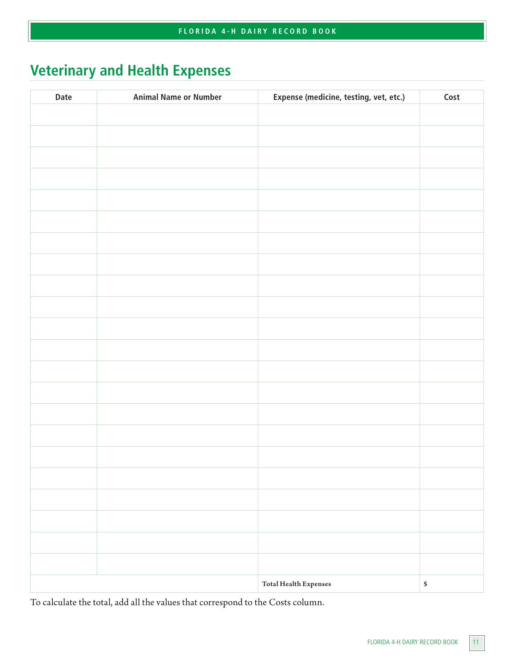# <span id="page-10-0"></span>**Veterinary and Health Expenses**

| Date | <b>Animal Name or Number</b> | Expense (medicine, testing, vet, etc.)          | Cost               |
|------|------------------------------|-------------------------------------------------|--------------------|
|      |                              |                                                 |                    |
|      |                              |                                                 |                    |
|      |                              |                                                 |                    |
|      |                              |                                                 |                    |
|      |                              |                                                 |                    |
|      |                              |                                                 |                    |
|      |                              |                                                 |                    |
|      |                              |                                                 |                    |
|      |                              |                                                 |                    |
|      |                              |                                                 |                    |
|      |                              |                                                 |                    |
|      |                              |                                                 |                    |
|      |                              |                                                 |                    |
|      |                              |                                                 |                    |
|      |                              |                                                 |                    |
|      |                              |                                                 |                    |
|      |                              |                                                 |                    |
|      |                              |                                                 |                    |
|      |                              |                                                 |                    |
|      |                              |                                                 |                    |
|      |                              |                                                 |                    |
|      |                              |                                                 |                    |
|      |                              |                                                 |                    |
|      |                              | $\operatorname{\mathsf{Total}}$ Health Expenses | $\pmb{\mathbb{S}}$ |

To calculate the total, add all the values that correspond to the Costs column.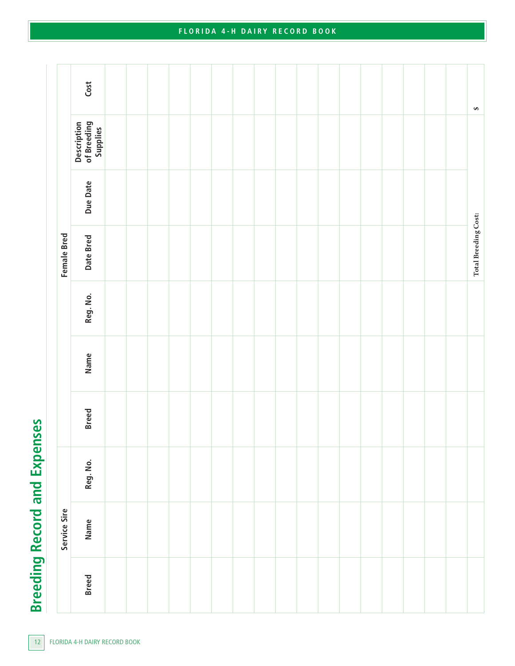| i                     |  |
|-----------------------|--|
| j<br>Ì<br>ï           |  |
| ć<br>I<br>Ì<br>ו<br>F |  |
| ١<br>ľ                |  |

<span id="page-11-0"></span>

|              | Cost                                   |  |  |  |  |  |  |  |  | $\Theta$                    |
|--------------|----------------------------------------|--|--|--|--|--|--|--|--|-----------------------------|
| Female Bred  | Description<br>of Breeding<br>Supplies |  |  |  |  |  |  |  |  |                             |
|              | Due Date                               |  |  |  |  |  |  |  |  |                             |
|              | <b>Date Bred</b>                       |  |  |  |  |  |  |  |  | <b>Total Breeding Cost:</b> |
|              | Reg. No.                               |  |  |  |  |  |  |  |  |                             |
|              | Name                                   |  |  |  |  |  |  |  |  |                             |
|              | <b>Breed</b>                           |  |  |  |  |  |  |  |  |                             |
| Service Sire | Reg. No.                               |  |  |  |  |  |  |  |  |                             |
|              | Name                                   |  |  |  |  |  |  |  |  |                             |
|              | <b>Breed</b>                           |  |  |  |  |  |  |  |  |                             |

#### **FLORIDA 4-H DAIRY RECORD BOOK**

ш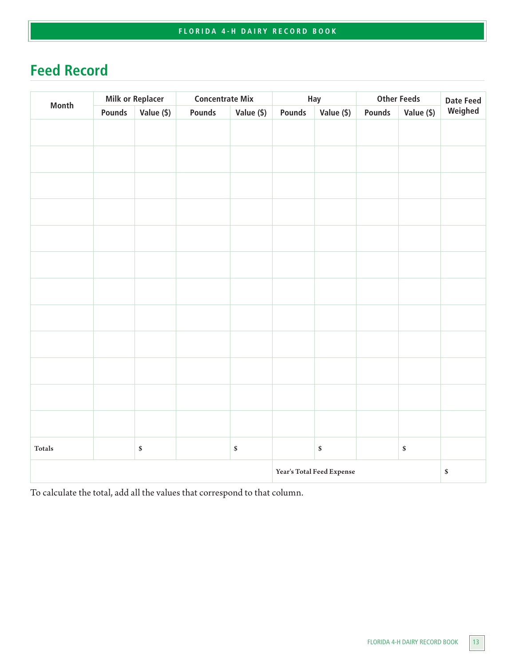# <span id="page-12-0"></span>**Feed Record**

| Month  | <b>Milk or Replacer</b> |                     | <b>Concentrate Mix</b> |                     |               | Hay                       |        | <b>Other Feeds</b>  | <b>Date Feed</b> |
|--------|-------------------------|---------------------|------------------------|---------------------|---------------|---------------------------|--------|---------------------|------------------|
|        | <b>Pounds</b>           | Value (\$)          | <b>Pounds</b>          | Value (\$)          | <b>Pounds</b> | Value (\$)                | Pounds | Value (\$)          | Weighed          |
|        |                         |                     |                        |                     |               |                           |        |                     |                  |
|        |                         |                     |                        |                     |               |                           |        |                     |                  |
|        |                         |                     |                        |                     |               |                           |        |                     |                  |
|        |                         |                     |                        |                     |               |                           |        |                     |                  |
|        |                         |                     |                        |                     |               |                           |        |                     |                  |
|        |                         |                     |                        |                     |               |                           |        |                     |                  |
|        |                         |                     |                        |                     |               |                           |        |                     |                  |
|        |                         |                     |                        |                     |               |                           |        |                     |                  |
|        |                         |                     |                        |                     |               |                           |        |                     |                  |
|        |                         |                     |                        |                     |               |                           |        |                     |                  |
|        |                         |                     |                        |                     |               |                           |        |                     |                  |
|        |                         |                     |                        |                     |               |                           |        |                     |                  |
|        |                         |                     |                        |                     |               |                           |        |                     |                  |
| Totals |                         | $\pmb{\mathcal{S}}$ |                        | $\pmb{\mathcal{S}}$ |               | $\pmb{\mathcal{S}}$       |        | $\pmb{\mathcal{S}}$ |                  |
|        |                         |                     |                        |                     |               | Year's Total Feed Expense |        |                     | \$               |

To calculate the total, add all the values that correspond to that column.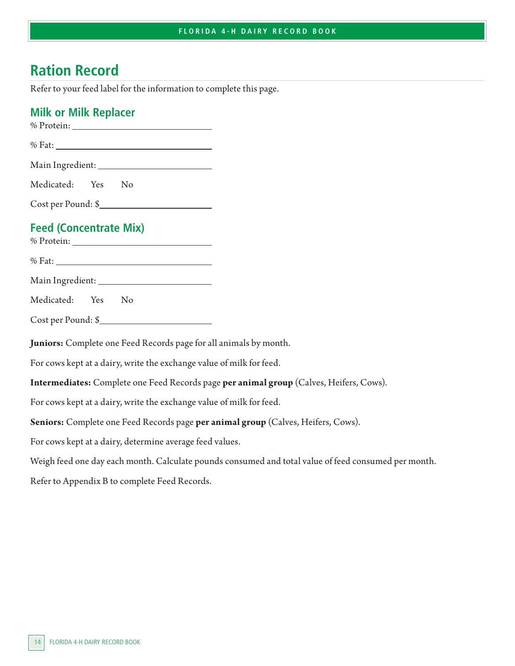## <span id="page-13-0"></span>**Ration Record**

Refer to your feed label for the information to complete this page.

### **Milk or Milk Replacer**

| Medicated: Yes No                                                                                    |  |
|------------------------------------------------------------------------------------------------------|--|
|                                                                                                      |  |
| <b>Feed (Concentrate Mix)</b>                                                                        |  |
|                                                                                                      |  |
|                                                                                                      |  |
| Medicated: Yes No                                                                                    |  |
| Cost per Pound: \$                                                                                   |  |
| Juniors: Complete one Feed Records page for all animals by month.                                    |  |
| For cows kept at a dairy, write the exchange value of milk for feed.                                 |  |
| Intermediates: Complete one Feed Records page per animal group (Calves, Heifers, Cows).              |  |
| For cows kept at a dairy, write the exchange value of milk for feed.                                 |  |
| Seniors: Complete one Feed Records page per animal group (Calves, Heifers, Cows).                    |  |
| For cows kept at a dairy, determine average feed values.                                             |  |
| Weigh feed one day each month. Calculate pounds consumed and total value of feed consumed per month. |  |
| Refer to Appendix B to complete Feed Records.                                                        |  |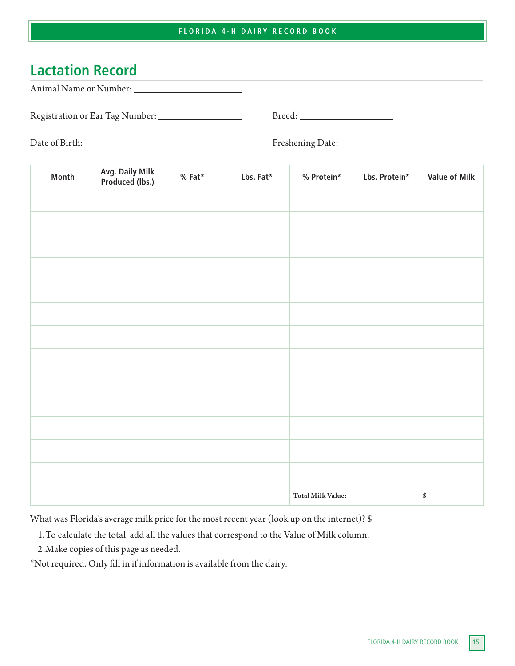#### **FLORIDA 4-H DAIRY RECORD BOOK**

### <span id="page-14-0"></span>**Lactation Record**

Animal Name or Number:

Registration or Ear Tag Number: Breed:

Date of Birth: Freshening Date:

| Month | Avg. Daily Milk<br>Produced (lbs.) | $%$ Fat* | Lbs. Fat* | % Protein*        | Lbs. Protein* | <b>Value of Milk</b> |
|-------|------------------------------------|----------|-----------|-------------------|---------------|----------------------|
|       |                                    |          |           |                   |               |                      |
|       |                                    |          |           |                   |               |                      |
|       |                                    |          |           |                   |               |                      |
|       |                                    |          |           |                   |               |                      |
|       |                                    |          |           |                   |               |                      |
|       |                                    |          |           |                   |               |                      |
|       |                                    |          |           |                   |               |                      |
|       |                                    |          |           |                   |               |                      |
|       |                                    |          |           |                   |               |                      |
|       |                                    |          |           |                   |               |                      |
|       |                                    |          |           |                   |               |                      |
|       |                                    |          |           |                   |               |                      |
|       |                                    |          |           |                   |               |                      |
|       |                                    |          |           | Total Milk Value: |               | $\pmb{\mathbb{S}}$   |

What was Florida's average milk price for the most recent year (look up on the internet)? \$

1.To calculate the total, add all the values that correspond to the Value of Milk column.

2.Make copies of this page as needed.

\*Not required. Only fill in if information is available from the dairy.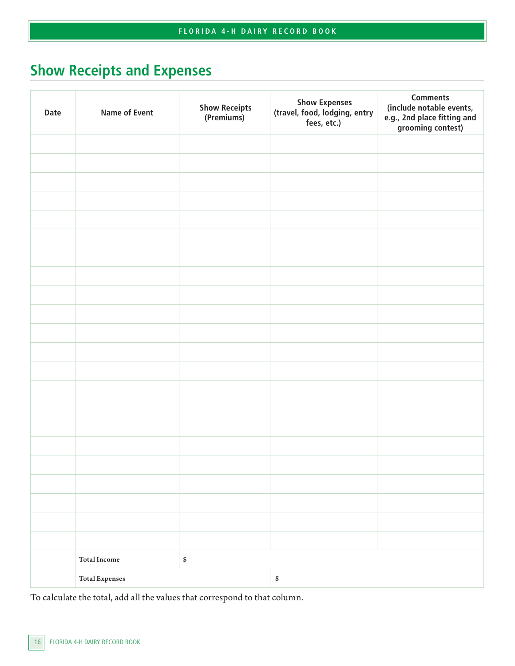# <span id="page-15-0"></span>**Show Receipts and Expenses**

| <b>Date</b> | <b>Name of Event</b>                            | <b>Show Receipts</b><br>(Premiums) | <b>Show Expenses</b><br>(travel, food, lodging, entry<br>fees, etc.) | <b>Comments</b><br>(include notable events,<br>e.g., 2nd place fitting and<br>grooming contest) |  |  |  |
|-------------|-------------------------------------------------|------------------------------------|----------------------------------------------------------------------|-------------------------------------------------------------------------------------------------|--|--|--|
|             |                                                 |                                    |                                                                      |                                                                                                 |  |  |  |
|             |                                                 |                                    |                                                                      |                                                                                                 |  |  |  |
|             |                                                 |                                    |                                                                      |                                                                                                 |  |  |  |
|             |                                                 |                                    |                                                                      |                                                                                                 |  |  |  |
|             |                                                 |                                    |                                                                      |                                                                                                 |  |  |  |
|             |                                                 |                                    |                                                                      |                                                                                                 |  |  |  |
|             |                                                 |                                    |                                                                      |                                                                                                 |  |  |  |
|             |                                                 |                                    |                                                                      |                                                                                                 |  |  |  |
|             |                                                 |                                    |                                                                      |                                                                                                 |  |  |  |
|             |                                                 |                                    |                                                                      |                                                                                                 |  |  |  |
|             |                                                 |                                    |                                                                      |                                                                                                 |  |  |  |
|             |                                                 |                                    |                                                                      |                                                                                                 |  |  |  |
|             |                                                 |                                    |                                                                      |                                                                                                 |  |  |  |
|             |                                                 |                                    |                                                                      |                                                                                                 |  |  |  |
|             |                                                 |                                    |                                                                      |                                                                                                 |  |  |  |
|             |                                                 |                                    |                                                                      |                                                                                                 |  |  |  |
|             |                                                 |                                    |                                                                      |                                                                                                 |  |  |  |
|             |                                                 |                                    |                                                                      |                                                                                                 |  |  |  |
|             |                                                 |                                    |                                                                      |                                                                                                 |  |  |  |
|             |                                                 |                                    |                                                                      |                                                                                                 |  |  |  |
|             |                                                 |                                    |                                                                      |                                                                                                 |  |  |  |
|             |                                                 |                                    |                                                                      |                                                                                                 |  |  |  |
|             | <b>Total Income</b>                             | $\pmb{\mathcal{S}}$                |                                                                      |                                                                                                 |  |  |  |
|             | $\operatorname{\mathsf{Total}\textsc{Express}}$ |                                    | \$                                                                   |                                                                                                 |  |  |  |

To calculate the total, add all the values that correspond to that column.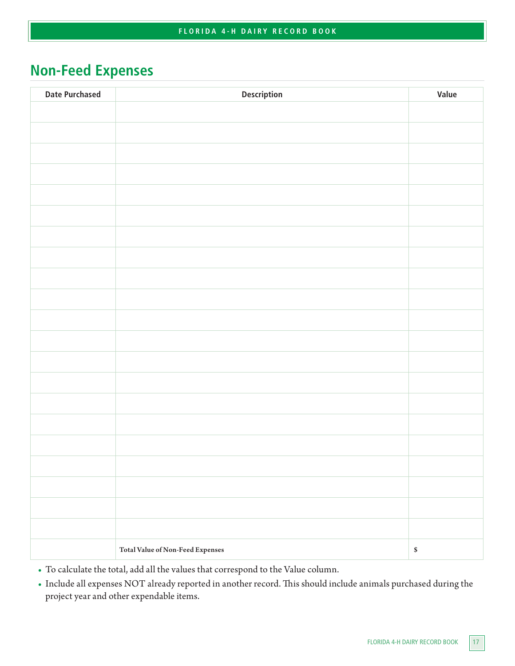### <span id="page-16-0"></span>**Non-Feed Expenses**

| <b>Date Purchased</b> | Description                      | Value              |
|-----------------------|----------------------------------|--------------------|
|                       |                                  |                    |
|                       |                                  |                    |
|                       |                                  |                    |
|                       |                                  |                    |
|                       |                                  |                    |
|                       |                                  |                    |
|                       |                                  |                    |
|                       |                                  |                    |
|                       |                                  |                    |
|                       |                                  |                    |
|                       |                                  |                    |
|                       |                                  |                    |
|                       |                                  |                    |
|                       |                                  |                    |
|                       |                                  |                    |
|                       |                                  |                    |
|                       |                                  |                    |
|                       |                                  |                    |
|                       |                                  |                    |
|                       |                                  |                    |
|                       |                                  |                    |
|                       |                                  |                    |
|                       |                                  |                    |
|                       |                                  |                    |
|                       |                                  |                    |
|                       | Total Value of Non-Feed Expenses | $\pmb{\mathbb{S}}$ |

**•** To calculate the total, add all the values that correspond to the Value column.

**•** Include all expenses NOT already reported in another record. This should include animals purchased during the project year and other expendable items.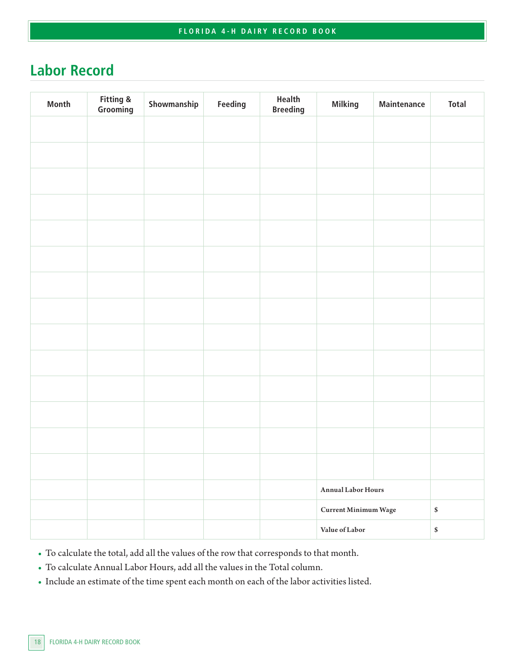## <span id="page-17-0"></span>**Labor Record**

| <b>Month</b> | Fitting &<br>Grooming | Showmanship | Feeding | Health<br><b>Breeding</b> | <b>Milking</b>       | Maintenance | <b>Total</b>       |
|--------------|-----------------------|-------------|---------|---------------------------|----------------------|-------------|--------------------|
|              |                       |             |         |                           |                      |             |                    |
|              |                       |             |         |                           |                      |             |                    |
|              |                       |             |         |                           |                      |             |                    |
|              |                       |             |         |                           |                      |             |                    |
|              |                       |             |         |                           |                      |             |                    |
|              |                       |             |         |                           |                      |             |                    |
|              |                       |             |         |                           |                      |             |                    |
|              |                       |             |         |                           |                      |             |                    |
|              |                       |             |         |                           |                      |             |                    |
|              |                       |             |         |                           |                      |             |                    |
|              |                       |             |         |                           |                      |             |                    |
|              |                       |             |         |                           |                      |             |                    |
|              |                       |             |         |                           |                      |             |                    |
|              |                       |             |         |                           |                      |             |                    |
|              |                       |             |         |                           | Annual Labor Hours   |             |                    |
|              |                       |             |         |                           | Current Minimum Wage |             | $\pmb{\mathbb{S}}$ |
|              |                       |             |         |                           | Value of Labor       |             | $\pmb{\mathbb{S}}$ |

**•** To calculate the total, add all the values of the row that corresponds to that month.

**•** To calculate Annual Labor Hours, add all the values in the Total column.

**•** Include an estimate of the time spent each month on each of the labor activities listed.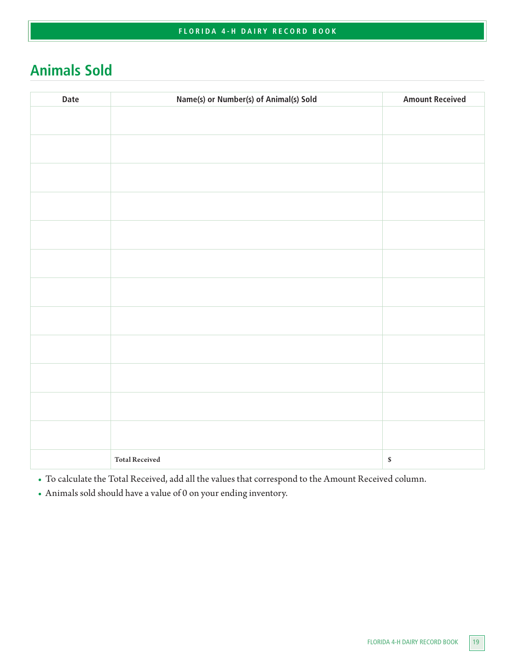# <span id="page-18-0"></span>**Animals Sold**

| Date | Name(s) or Number(s) of Animal(s) Sold | <b>Amount Received</b> |
|------|----------------------------------------|------------------------|
|      |                                        |                        |
|      |                                        |                        |
|      |                                        |                        |
|      |                                        |                        |
|      |                                        |                        |
|      |                                        |                        |
|      |                                        |                        |
|      |                                        |                        |
|      |                                        |                        |
|      |                                        |                        |
|      |                                        |                        |
|      |                                        |                        |
|      |                                        |                        |
|      |                                        |                        |
|      |                                        |                        |
|      |                                        |                        |
|      |                                        |                        |
|      |                                        |                        |
|      |                                        |                        |
|      |                                        |                        |
|      | <b>Total Received</b>                  | $\pmb{\mathcal{S}}$    |
|      |                                        |                        |

**•** To calculate the Total Received, add all the values that correspond to the Amount Received column.

**•** Animals sold should have a value of 0 on your ending inventory.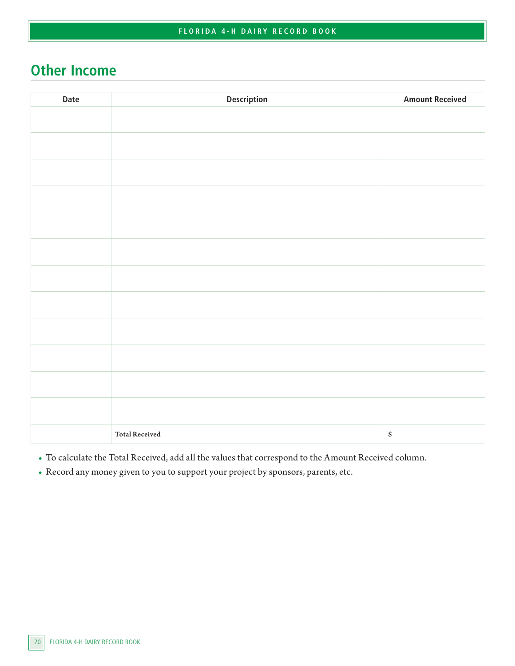## <span id="page-19-0"></span>**Other Income**

| Date | <b>Description</b>    | <b>Amount Received</b> |
|------|-----------------------|------------------------|
|      |                       |                        |
|      |                       |                        |
|      |                       |                        |
|      |                       |                        |
|      |                       |                        |
|      |                       |                        |
|      |                       |                        |
|      |                       |                        |
|      |                       |                        |
|      |                       |                        |
|      |                       |                        |
|      |                       |                        |
|      |                       |                        |
|      | <b>Total Received</b> | $\mathbb S$            |

**•** To calculate the Total Received, add all the values that correspond to the Amount Received column.

**•** Record any money given to you to support your project by sponsors, parents, etc.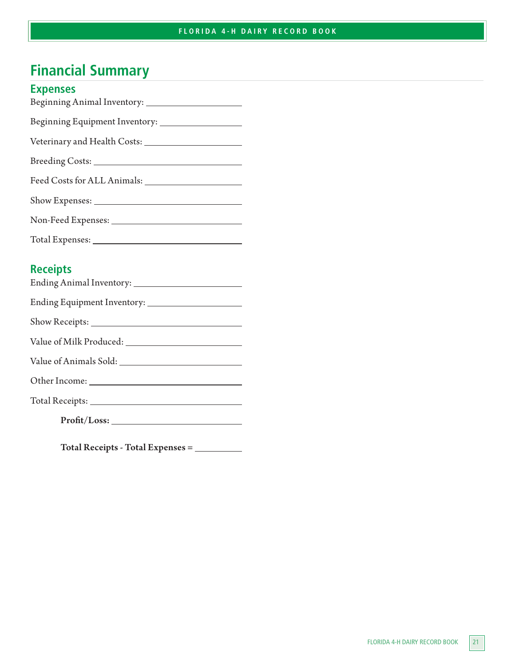# <span id="page-20-0"></span>**Financial Summary**

#### **Expenses**

### **Receipts**

| Profit/Loss: |  |  |  |  |  |
|--------------|--|--|--|--|--|

Total Receipts - Total Expenses =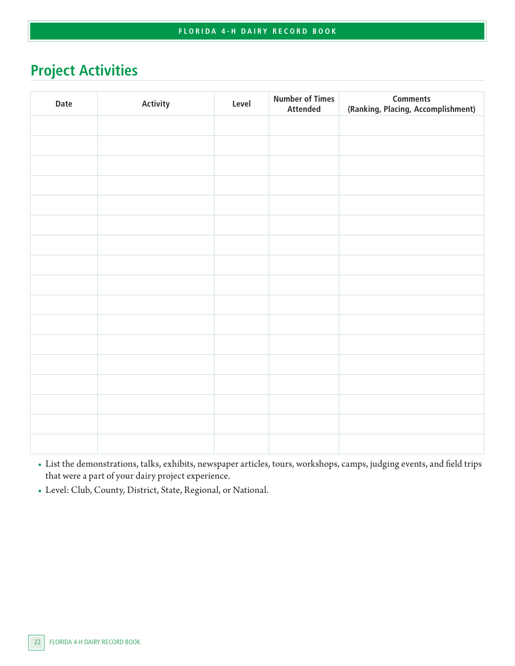# <span id="page-21-0"></span>**Project Activities**

| Date | Activity | Level | <b>Number of Times</b><br>Attended | <b>Comments</b><br>(Ranking, Placing, Accomplishment) |
|------|----------|-------|------------------------------------|-------------------------------------------------------|
|      |          |       |                                    |                                                       |
|      |          |       |                                    |                                                       |
|      |          |       |                                    |                                                       |
|      |          |       |                                    |                                                       |
|      |          |       |                                    |                                                       |
|      |          |       |                                    |                                                       |
|      |          |       |                                    |                                                       |
|      |          |       |                                    |                                                       |
|      |          |       |                                    |                                                       |
|      |          |       |                                    |                                                       |
|      |          |       |                                    |                                                       |
|      |          |       |                                    |                                                       |
|      |          |       |                                    |                                                       |
|      |          |       |                                    |                                                       |
|      |          |       |                                    |                                                       |
|      |          |       |                                    |                                                       |
|      |          |       |                                    |                                                       |

**•** List the demonstrations, talks, exhibits, newspaper articles, tours, workshops, camps, judging events, and field trips that were a part of your dairy project experience.

**•** Level: Club, County, District, State, Regional, or National.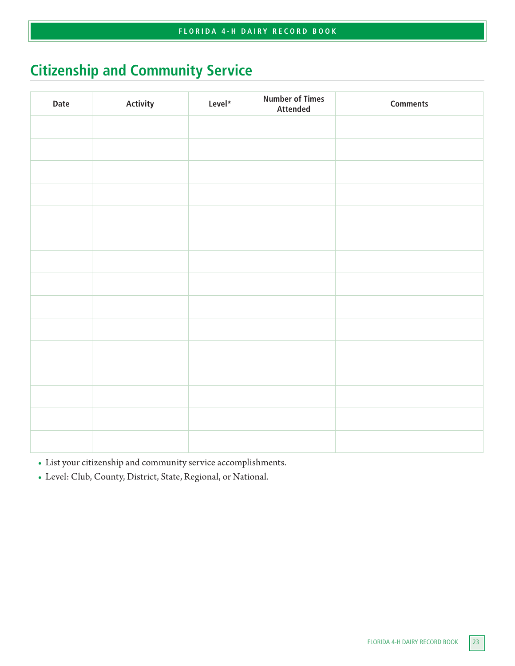# <span id="page-22-0"></span>**Citizenship and Community Service**

| Date | Activity | Level* | <b>Number of Times</b><br><b>Attended</b> | <b>Comments</b> |
|------|----------|--------|-------------------------------------------|-----------------|
|      |          |        |                                           |                 |
|      |          |        |                                           |                 |
|      |          |        |                                           |                 |
|      |          |        |                                           |                 |
|      |          |        |                                           |                 |
|      |          |        |                                           |                 |
|      |          |        |                                           |                 |
|      |          |        |                                           |                 |
|      |          |        |                                           |                 |
|      |          |        |                                           |                 |
|      |          |        |                                           |                 |
|      |          |        |                                           |                 |
|      |          |        |                                           |                 |
|      |          |        |                                           |                 |
|      |          |        |                                           |                 |

**•** List your citizenship and community service accomplishments.

**•** Level: Club, County, District, State, Regional, or National.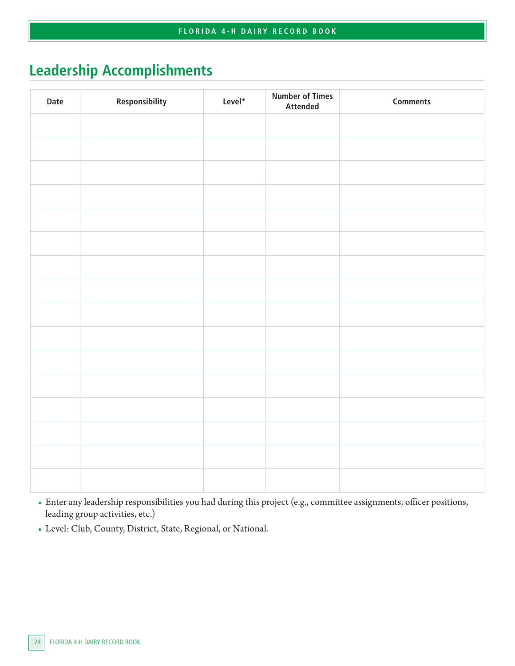# <span id="page-23-0"></span>**Leadership Accomplishments**

| Date | Responsibility | Level* | <b>Number of Times<br/>Attended</b> | <b>Comments</b> |
|------|----------------|--------|-------------------------------------|-----------------|
|      |                |        |                                     |                 |
|      |                |        |                                     |                 |
|      |                |        |                                     |                 |
|      |                |        |                                     |                 |
|      |                |        |                                     |                 |
|      |                |        |                                     |                 |
|      |                |        |                                     |                 |
|      |                |        |                                     |                 |
|      |                |        |                                     |                 |
|      |                |        |                                     |                 |
|      |                |        |                                     |                 |
|      |                |        |                                     |                 |
|      |                |        |                                     |                 |
|      |                |        |                                     |                 |
|      |                |        |                                     |                 |
|      |                |        |                                     |                 |

- **•** Enter any leadership responsibilities you had during this project (e.g., committee assignments, officer positions, leading group activities, etc.)
- **•** Level: Club, County, District, State, Regional, or National.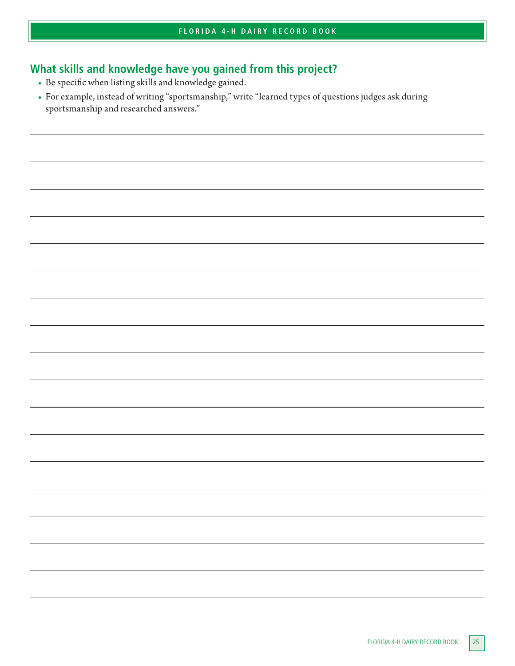### **What skills and knowledge have you gained from this project?**

**•** Be specific when listing skills and knowledge gained.

 $\overline{a}$ 

**•** For example, instead of writing "sportsmanship," write "learned types of questions judges ask during sportsmanship and researched answers."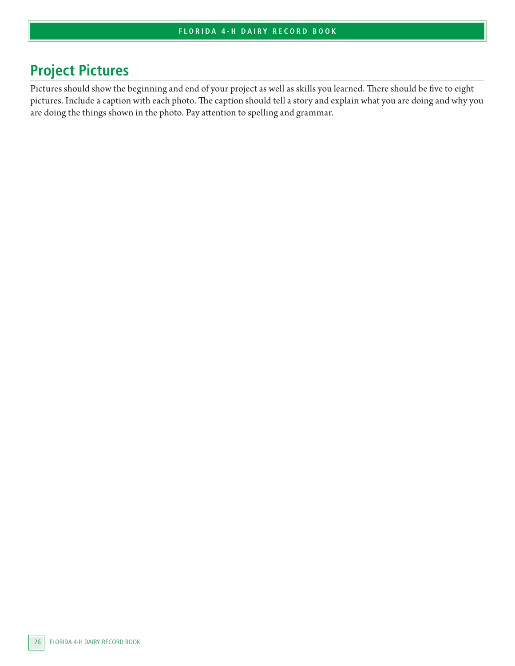## <span id="page-25-0"></span>**Project Pictures**

Pictures should show the beginning and end of your project as well as skills you learned. There should be five to eight pictures. Include a caption with each photo. The caption should tell a story and explain what you are doing and why you are doing the things shown in the photo. Pay attention to spelling and grammar.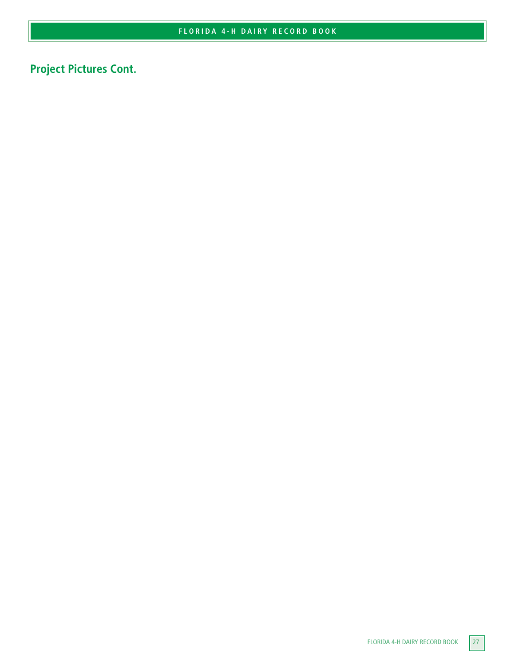**Project Pictures Cont.**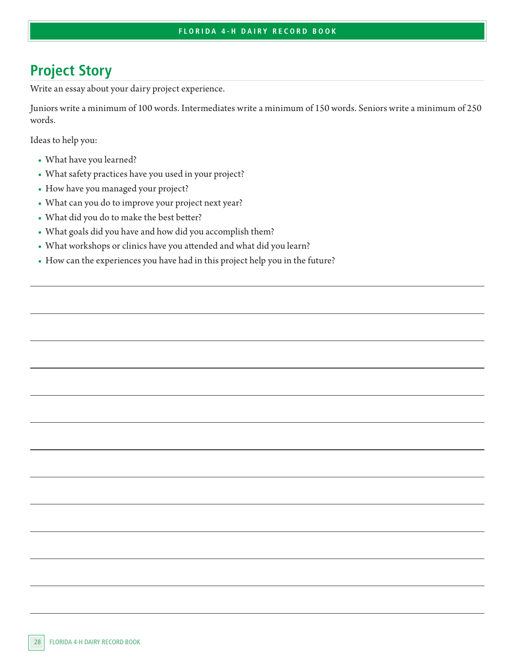### <span id="page-27-0"></span>**Project Story**

Write an essay about your dairy project experience.

Juniors write a minimum of 100 words. Intermediates write a minimum of 150 words. Seniors write a minimum of 250 words.

Ideas to help you:

 $\overline{a}$ 

- **•** What have you learned?
- **•** What safety practices have you used in your project?
- **•** How have you managed your project?
- **•** What can you do to improve your project next year?
- **•** What did you do to make the best better?
- **•** What goals did you have and how did you accomplish them?
- **•** What workshops or clinics have you attended and what did you learn?
- **•** How can the experiences you have had in this project help you in the future?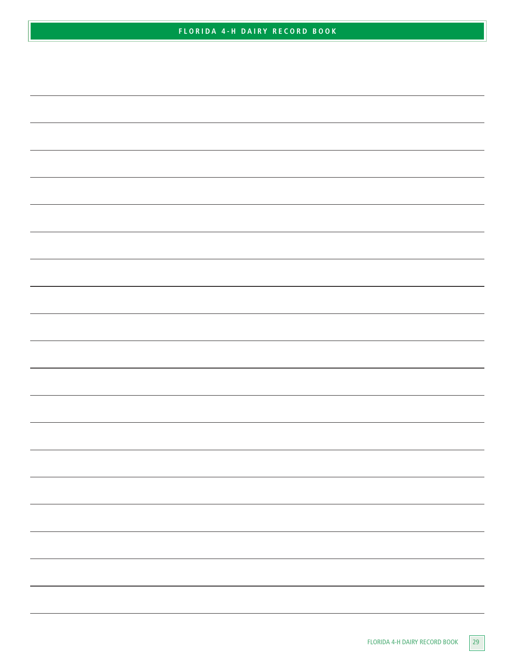| FLORIDA 4-H DAIRY RECORD BOOK |  |  |  |
|-------------------------------|--|--|--|
|-------------------------------|--|--|--|

| — |
|---|
|   |
|   |
|   |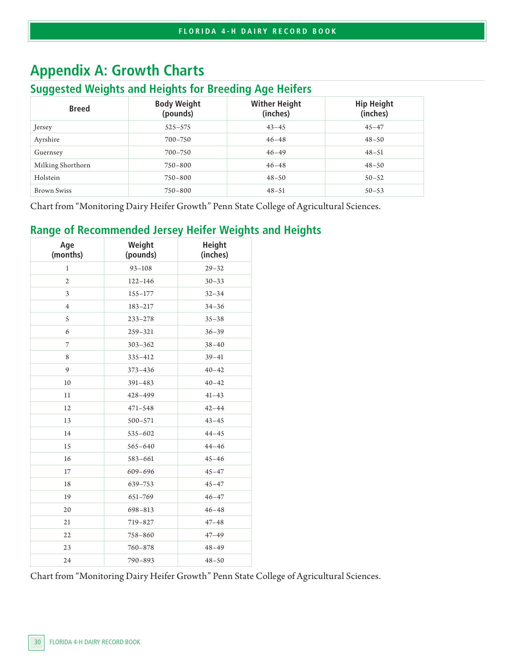## <span id="page-29-0"></span>**Appendix A: Growth Charts**

#### **Suggested Weights and Heights for Breeding Age Heifers**

| <b>Breed</b>       | <b>Body Weight</b><br>(pounds) | <b>Wither Height</b><br>(inches) | <b>Hip Height</b><br>(inches) |
|--------------------|--------------------------------|----------------------------------|-------------------------------|
| Jersey             | $525 - 575$                    | $43 - 45$                        | $45 - 47$                     |
| Ayrshire           | 700-750                        | $46 - 48$                        | $48 - 50$                     |
| Guernsey           | 700-750                        | $46 - 49$                        | $48 - 51$                     |
| Milking Shorthorn  | 750-800                        | $46 - 48$                        | $48 - 50$                     |
| Holstein           | 750-800                        | $48 - 50$                        | $50 - 52$                     |
| <b>Brown Swiss</b> | $750 - 800$                    | $48 - 51$                        | $50 - 53$                     |

Chart from "Monitoring Dairy Heifer Growth" Penn State College of Agricultural Sciences.

### **Range of Recommended Jersey Heifer Weights and Heights**

| Age<br>(months) | Weight<br>(pounds) | <b>Height</b><br>(inches) |
|-----------------|--------------------|---------------------------|
| $\mathbf 1$     | $93 - 108$         | $29 - 32$                 |
| $\overline{2}$  | $122 - 146$        | $30 - 33$                 |
| 3               | 155-177            | $32 - 34$                 |
| $\overline{4}$  | 183-217            | $34 - 36$                 |
| 5               | $233 - 278$        | $35 - 38$                 |
| 6               | 259-321            | $36 - 39$                 |
| 7               | $303 - 362$        | $38 - 40$                 |
| 8               | 335-412            | $39 - 41$                 |
| 9               | $373 - 436$        | $40 - 42$                 |
| 10              | 391-483            | $40 - 42$                 |
| 11              | 428-499            | $41 - 43$                 |
| 12              | 471-548            | $42 - 44$                 |
| 13              | 500-571            | $43 - 45$                 |
| 14              | 535-602            | $44 - 45$                 |
| 15              | $565 - 640$        | $44 - 46$                 |
| 16              | 583-661            | $45 - 46$                 |
| 17              | 609-696            | $45 - 47$                 |
| 18              | 639-753            | $45 - 47$                 |
| 19              | 651-769            | $46 - 47$                 |
| 20              | 698-813            | $46 - 48$                 |
| 21              | 719-827            | $47 - 48$                 |
| 22              | 758-860            | $47 - 49$                 |
| 23              | $760 - 878$        | $48 - 49$                 |
| 24              | $790 - 893$        | $48 - 50$                 |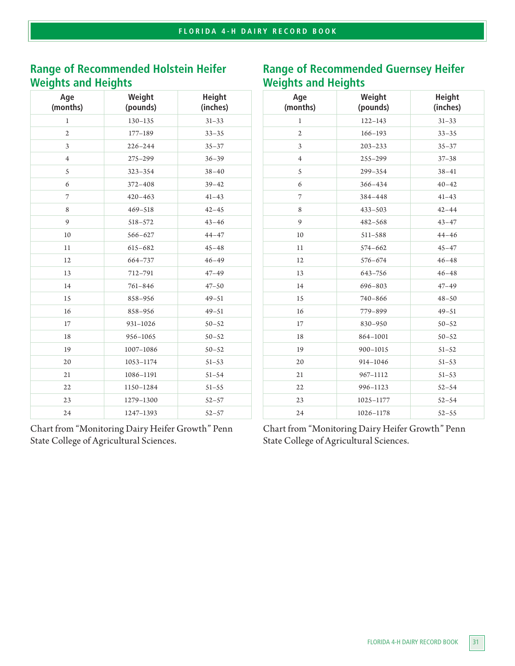#### **Range of Recommended Holstein Heifer Weights and Heights**

| Age<br>(months) | Weight<br>(pounds) | <b>Height</b><br>(inches) |
|-----------------|--------------------|---------------------------|
| $\mathbf{1}$    | $130 - 135$        | $31 - 33$                 |
| $\overline{2}$  | $177 - 189$        | $33 - 35$                 |
| 3               | $226 - 244$        | $35 - 37$                 |
| $\overline{4}$  | $275 - 299$        | $36 - 39$                 |
| 5               | $323 - 354$        | $38 - 40$                 |
| 6               | $372 - 408$        | $39 - 42$                 |
| 7               | $420 - 463$        | $41 - 43$                 |
| 8               | 469-518            | $42 - 45$                 |
| 9               | 518-572            | $43 - 46$                 |
| 10              | $566 - 627$        | $44 - 47$                 |
| 11              | $615 - 682$        | $45 - 48$                 |
| 12              | 664-737            | $46 - 49$                 |
| 13              | 712-791            | $47 - 49$                 |
| 14              | 761-846            | $47 - 50$                 |
| 15              | 858-956            | $49 - 51$                 |
| 16              | 858-956            | $49 - 51$                 |
| 17              | 931-1026           | $50 - 52$                 |
| 18              | 956-1065           | $50 - 52$                 |
| 19              | 1007-1086          | $50 - 52$                 |
| 20              | 1053-1174          | $51 - 53$                 |
| 21              | 1086-1191          | $51 - 54$                 |
| 22              | 1150-1284          | $51 - 55$                 |
| 23              | 1279-1300          | $52 - 57$                 |
| 24              | 1247-1393          | $52 - 57$                 |

Chart from "Monitoring Dairy Heifer Growth" Penn State College of Agricultural Sciences.

### **Range of Recommended Guernsey Heifer Weights and Heights**

| Age<br>(months) | Weight<br>(pounds) | <b>Height</b><br>(inches) |
|-----------------|--------------------|---------------------------|
| $\mathbf{1}$    | $122 - 143$        | $31 - 33$                 |
| $\overline{c}$  | $166 - 193$        | $33 - 35$                 |
| 3               | $203 - 233$        | $35 - 37$                 |
| $\overline{4}$  | 255-299            | $37 - 38$                 |
| 5               | 299-354            | $38 - 41$                 |
| 6               | $366 - 434$        | $40 - 42$                 |
| 7               | $384 - 448$        | $41 - 43$                 |
| 8               | $433 - 503$        | $42 - 44$                 |
| 9               | 482-568            | $43 - 47$                 |
| 10              | 511-588            | $44 - 46$                 |
| 11              | $574 - 662$        | $45 - 47$                 |
| 12              | $576 - 674$        | $46 - 48$                 |
| 13              | 643-756            | $46 - 48$                 |
| 14              | 696-803            | $47 - 49$                 |
| 15              | 740-866            | $48 - 50$                 |
| 16              | 779-899            | $49 - 51$                 |
| 17              | 830-950            | $50 - 52$                 |
| 18              | 864-1001           | $50 - 52$                 |
| 19              | 900-1015           | $51 - 52$                 |
| 20              | 914-1046           | $51 - 53$                 |
| 21              | 967-1112           | $51 - 53$                 |
| 22              | 996-1123           | $52 - 54$                 |
| 23              | 1025-1177          | $52 - 54$                 |
| 24              | 1026-1178          | $52 - 55$                 |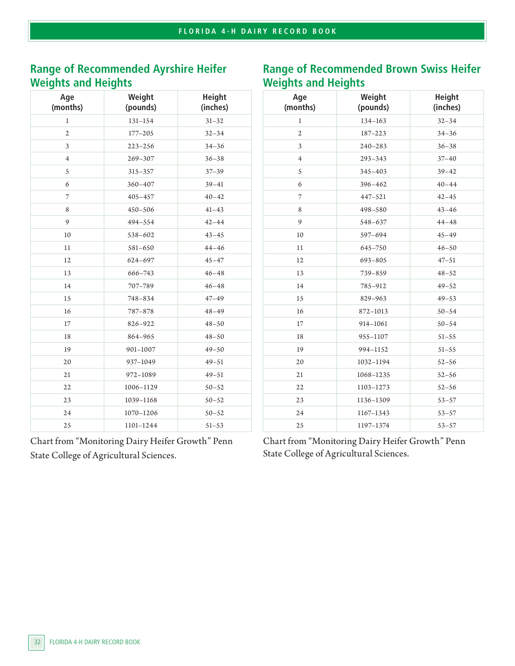#### **Range of Recommended Ayrshire Heifer Weights and Heights**

| Age<br>(months) | Weight<br>(pounds) | <b>Height</b><br>(inches) |
|-----------------|--------------------|---------------------------|
| $\mathbf 1$     | $131 - 154$        | $31 - 32$                 |
| $\overline{2}$  | 177-205            | $32 - 34$                 |
| 3               | $223 - 256$        | $34 - 36$                 |
| $\overline{4}$  | 269-307            | $36 - 38$                 |
| 5               | $315 - 357$        | $37 - 39$                 |
| 6               | $360 - 407$        | $39 - 41$                 |
| 7               | $405 - 457$        | $40 - 42$                 |
| 8               | 450-506            | $41 - 43$                 |
| 9               | 494-554            | $42 - 44$                 |
| 10              | 538-602            | $43 - 45$                 |
| 11              | 581-650            | $44 - 46$                 |
| 12              | 624-697            | $45 - 47$                 |
| 13              | 666-743            | $46 - 48$                 |
| 14              | 707-789            | $46 - 48$                 |
| 15              | $748 - 834$        | $47 - 49$                 |
| 16              | 787-878            | $48 - 49$                 |
| 17              | 826-922            | $48 - 50$                 |
| 18              | 864-965            | $48 - 50$                 |
| 19              | 901-1007           | $49 - 50$                 |
| 20              | 937-1049           | $49 - 51$                 |
| 21              | 972-1089           | $49 - 51$                 |
| 22              | 1006-1129          | $50 - 52$                 |
| 23              | 1039-1168          | $50 - 52$                 |
| 24              | 1070-1206          | $50 - 52$                 |
| 25              | 1101-1244          | $51 - 53$                 |

Chart from "Monitoring Dairy Heifer Growth" Penn State College of Agricultural Sciences.

#### **Range of Recommended Brown Swiss Heifer Weights and Heights**

| Age<br>(months) | Weight<br>(pounds) | <b>Height</b><br>(inches) |
|-----------------|--------------------|---------------------------|
| $\mathbf{1}$    | 134-163            | $32 - 34$                 |
| $\overline{2}$  | 187-223            | $34 - 36$                 |
| 3               | $240 - 283$        | $36 - 38$                 |
| $\overline{4}$  | $293 - 343$        | $37 - 40$                 |
| 5               | 345-403            | $39 - 42$                 |
| 6               | 396-462            | $40 - 44$                 |
| $\overline{7}$  | 447-521            | $42 - 45$                 |
| 8               | 498-580            | $43 - 46$                 |
| 9               | 548-637            | $44 - 48$                 |
| 10              | 597-694            | $45 - 49$                 |
| 11              | 645-750            | $46 - 50$                 |
| 12              | 693-805            | $47 - 51$                 |
| 13              | 739-859            | $48 - 52$                 |
| 14              | 785-912            | $49 - 52$                 |
| 15              | 829-963            | $49 - 53$                 |
| 16              | 872-1013           | $50 - 54$                 |
| 17              | 914-1061           | $50 - 54$                 |
| 18              | 955-1107           | $51 - 55$                 |
| 19              | 994-1152           | $51 - 55$                 |
| 20              | 1032-1194          | $52 - 56$                 |
| 21              | 1068-1235          | $52 - 56$                 |
| 22              | 1103-1273          | $52 - 56$                 |
| 23              | 1136-1309          | $53 - 57$                 |
| 24              | 1167-1343          | $53 - 57$                 |
| 25              | 1197-1374          | $53 - 57$                 |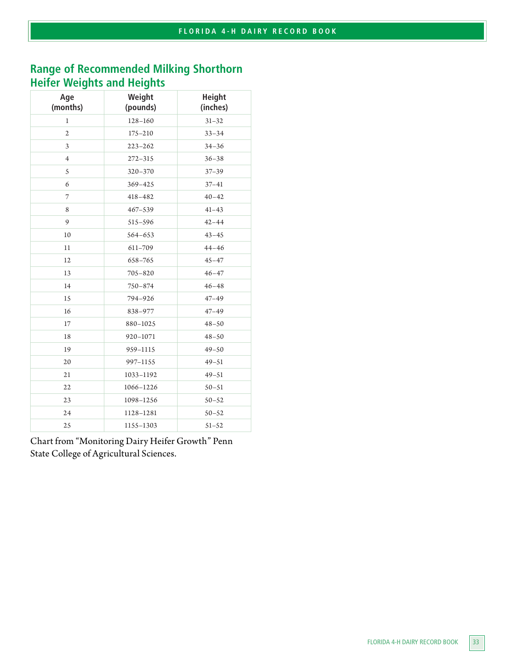#### **Range of Recommended Milking Shorthorn Heifer Weights and Heights**

| Age<br>(months) | Weight<br>(pounds) | <b>Height</b><br>(inches) |
|-----------------|--------------------|---------------------------|
| $\mathbf 1$     | $128 - 160$        | $31 - 32$                 |
| $\mathfrak{2}$  | $175 - 210$        | $33 - 34$                 |
| 3               | $223 - 262$        | $34 - 36$                 |
| $\overline{4}$  | $272 - 315$        | $36 - 38$                 |
| 5               | $320 - 370$        | $37 - 39$                 |
| 6               | 369-425            | $37 - 41$                 |
| 7               | $418 - 482$        | $40 - 42$                 |
| 8               | 467-539            | $41 - 43$                 |
| 9               | 515-596            | $42 - 44$                 |
| 10              | 564-653            | $43 - 45$                 |
| 11              | 611-709            | $44 - 46$                 |
| 12              | 658-765            | $45 - 47$                 |
| 13              | $705 - 820$        | $46 - 47$                 |
| 14              | $750 - 874$        | $46 - 48$                 |
| 15              | 794-926            | $47 - 49$                 |
| 16              | 838-977            | $47 - 49$                 |
| 17              | 880-1025           | $48 - 50$                 |
| 18              | 920-1071           | $48 - 50$                 |
| 19              | 959-1115           | $49 - 50$                 |
| 20              | 997-1155           | $49 - 51$                 |
| 21              | 1033-1192          | $49 - 51$                 |
| 22              | 1066-1226          | $50 - 51$                 |
| 23              | 1098-1256          | $50 - 52$                 |
| 24              | 1128-1281          | $50 - 52$                 |
| 25              | 1155-1303          | $51 - 52$                 |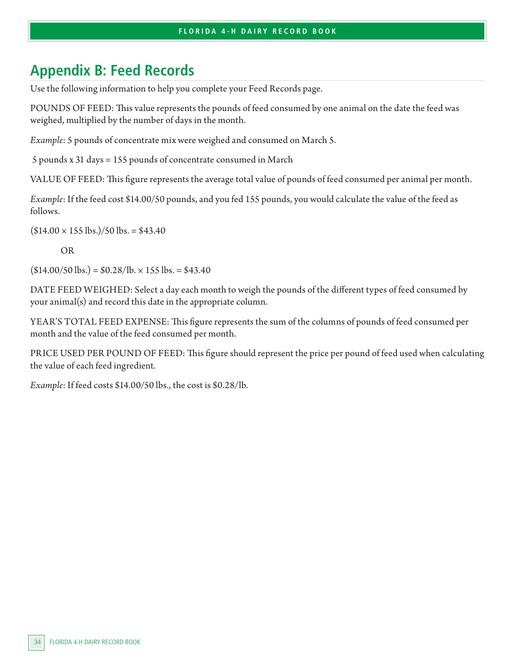## <span id="page-33-0"></span>**Appendix B: Feed Records**

Use the following information to help you complete your Feed Records page.

POUNDS OF FEED: This value represents the pounds of feed consumed by one animal on the date the feed was weighed, multiplied by the number of days in the month.

*Example*: 5 pounds of concentrate mix were weighed and consumed on March 5.

5 pounds x 31 days = 155 pounds of concentrate consumed in March

VALUE OF FEED: This figure represents the average total value of pounds of feed consumed per animal per month.

*Example*: If the feed cost \$14.00/50 pounds, and you fed 155 pounds, you would calculate the value of the feed as follows.

 $($14.00 \times 155 \text{ lbs.})$ /50 lbs. = \$43.40

OR

 $($14.00/50$  lbs.) =  $$0.28/lb. \times 155$  lbs. = \$43.40

DATE FEED WEIGHED: Select a day each month to weigh the pounds of the different types of feed consumed by your animal(s) and record this date in the appropriate column.

YEAR'S TOTAL FEED EXPENSE: This figure represents the sum of the columns of pounds of feed consumed per month and the value of the feed consumed per month.

PRICE USED PER POUND OF FEED: This figure should represent the price per pound of feed used when calculating the value of each feed ingredient.

*Example*: If feed costs \$14.00/50 lbs., the cost is \$0.28/lb.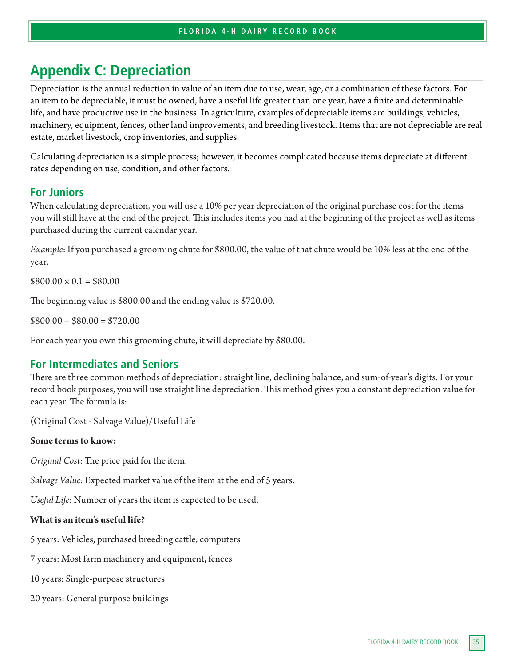### <span id="page-34-0"></span>**Appendix C: Depreciation**

Depreciation is the annual reduction in value of an item due to use, wear, age, or a combination of these factors. For an item to be depreciable, it must be owned, have a useful life greater than one year, have a finite and determinable life, and have productive use in the business. In agriculture, examples of depreciable items are buildings, vehicles, machinery, equipment, fences, other land improvements, and breeding livestock. Items that are not depreciable are real estate, market livestock, crop inventories, and supplies.

Calculating depreciation is a simple process; however, it becomes complicated because items depreciate at different rates depending on use, condition, and other factors.

#### **For Juniors**

When calculating depreciation, you will use a 10% per year depreciation of the original purchase cost for the items you will still have at the end of the project. This includes items you had at the beginning of the project as well as items purchased during the current calendar year.

*Example*: If you purchased a grooming chute for \$800.00, the value of that chute would be 10% less at the end of the year.

 $$800.00 \times 0.1 = $80.00$ 

The beginning value is \$800.00 and the ending value is \$720.00.

 $$800.00 - $80.00 = $720.00$ 

For each year you own this grooming chute, it will depreciate by \$80.00.

#### **For Intermediates and Seniors**

There are three common methods of depreciation: straight line, declining balance, and sum-of-year's digits. For your record book purposes, you will use straight line depreciation. This method gives you a constant depreciation value for each year. The formula is:

(Original Cost - Salvage Value)/Useful Life

#### **Some terms to know:**

*Original Cost*: The price paid for the item.

*Salvage Value*: Expected market value of the item at the end of 5 years.

*Useful Life*: Number of years the item is expected to be used.

#### **What is an item's useful life?**

5 years: Vehicles, purchased breeding cattle, computers

7 years: Most farm machinery and equipment, fences

10 years: Single-purpose structures

20 years: General purpose buildings